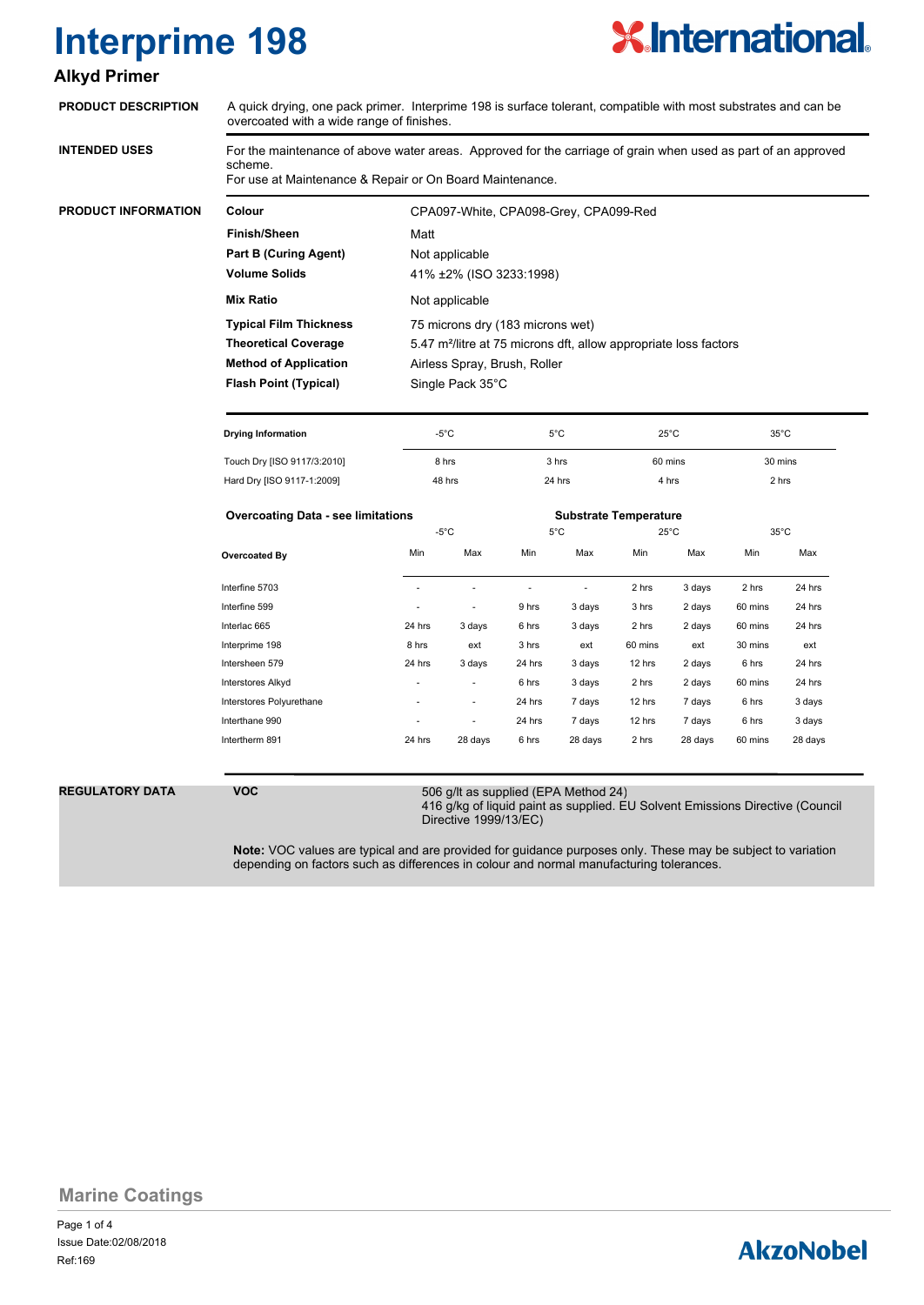

### **Alkyd Primer**

| <b>PRODUCT DESCRIPTION</b> | A quick drying, one pack primer. Interprime 198 is surface tolerant, compatible with most substrates and can be<br>overcoated with a wide range of finishes.                         |                                                                              |                              |                              |         |                |         |                |         |  |
|----------------------------|--------------------------------------------------------------------------------------------------------------------------------------------------------------------------------------|------------------------------------------------------------------------------|------------------------------|------------------------------|---------|----------------|---------|----------------|---------|--|
| <b>INTENDED USES</b>       | For the maintenance of above water areas. Approved for the carriage of grain when used as part of an approved<br>scheme.<br>For use at Maintenance & Repair or On Board Maintenance. |                                                                              |                              |                              |         |                |         |                |         |  |
| PRODUCT INFORMATION        | Colour                                                                                                                                                                               | CPA097-White, CPA098-Grey, CPA099-Red                                        |                              |                              |         |                |         |                |         |  |
|                            | <b>Finish/Sheen</b>                                                                                                                                                                  | Matt                                                                         |                              |                              |         |                |         |                |         |  |
|                            | <b>Part B (Curing Agent)</b>                                                                                                                                                         | Not applicable<br>41% ±2% (ISO 3233:1998)                                    |                              |                              |         |                |         |                |         |  |
|                            | <b>Volume Solids</b>                                                                                                                                                                 |                                                                              |                              |                              |         |                |         |                |         |  |
|                            | <b>Mix Ratio</b>                                                                                                                                                                     | Not applicable                                                               |                              |                              |         |                |         |                |         |  |
|                            | <b>Typical Film Thickness</b>                                                                                                                                                        | 75 microns dry (183 microns wet)                                             |                              |                              |         |                |         |                |         |  |
|                            | <b>Theoretical Coverage</b>                                                                                                                                                          | 5.47 m <sup>2</sup> /litre at 75 microns dft, allow appropriate loss factors |                              |                              |         |                |         |                |         |  |
|                            | <b>Method of Application</b>                                                                                                                                                         |                                                                              | Airless Spray, Brush, Roller |                              |         |                |         |                |         |  |
|                            | <b>Flash Point (Typical)</b>                                                                                                                                                         |                                                                              | Single Pack 35°C             |                              |         |                |         |                |         |  |
|                            |                                                                                                                                                                                      |                                                                              |                              |                              |         |                |         |                |         |  |
|                            | <b>Drying Information</b>                                                                                                                                                            | $-5^{\circ}$ C                                                               |                              | $5^{\circ}$ C                |         | $25^{\circ}$ C |         | $35^{\circ}$ C |         |  |
|                            | Touch Dry [ISO 9117/3:2010]                                                                                                                                                          | 8 hrs                                                                        |                              | 3 hrs                        |         | 60 mins        |         | 30 mins        |         |  |
|                            | Hard Dry [ISO 9117-1:2009]                                                                                                                                                           | 48 hrs                                                                       |                              | 24 hrs                       |         | 4 hrs          |         | 2 hrs          |         |  |
|                            | <b>Overcoating Data - see limitations</b>                                                                                                                                            |                                                                              |                              | <b>Substrate Temperature</b> |         |                |         |                |         |  |
|                            |                                                                                                                                                                                      | $-5^{\circ}$ C                                                               |                              | $5^{\circ}$ C                |         | $25^{\circ}$ C |         | $35^{\circ}$ C |         |  |
|                            | Overcoated By                                                                                                                                                                        | Min                                                                          | Max                          | Min                          | Max     | Min            | Max     | Min            | Max     |  |
|                            | Interfine 5703                                                                                                                                                                       |                                                                              |                              | $\blacksquare$               | $\sim$  | 2 hrs          | 3 days  | 2 hrs          | 24 hrs  |  |
|                            | Interfine 599                                                                                                                                                                        |                                                                              | ÷.                           | 9 hrs                        | 3 days  | 3 hrs          | 2 days  | 60 mins        | 24 hrs  |  |
|                            | Interlac 665                                                                                                                                                                         | 24 hrs                                                                       | 3 days                       | 6 hrs                        | 3 days  | 2 hrs          | 2 days  | 60 mins        | 24 hrs  |  |
|                            | Interprime 198                                                                                                                                                                       | 8 hrs                                                                        | ext                          | 3 hrs                        | ext     | 60 mins        | ext     | 30 mins        | ext     |  |
|                            | Intersheen 579                                                                                                                                                                       | 24 hrs                                                                       | 3 days                       | 24 hrs                       | 3 days  | 12 hrs         | 2 days  | 6 hrs          | 24 hrs  |  |
|                            | Interstores Alkyd                                                                                                                                                                    |                                                                              |                              | 6 hrs                        | 3 days  | 2 hrs          | 2 days  | 60 mins        | 24 hrs  |  |
|                            | Interstores Polyurethane                                                                                                                                                             |                                                                              |                              | 24 hrs                       | 7 days  | 12 hrs         | 7 days  | 6 hrs          | 3 days  |  |
|                            | Interthane 990                                                                                                                                                                       |                                                                              |                              | 24 hrs                       | 7 days  | 12 hrs         | 7 days  | 6 hrs          | 3 days  |  |
|                            | Intertherm 891                                                                                                                                                                       | 24 hrs                                                                       | 28 days                      | 6 hrs                        | 28 days | 2 hrs          | 28 days | 60 mins        | 28 days |  |

#### **REGULATORY DATA VOC**

#### 506 g/lt as supplied (EPA Method 24)

416 g/kg of liquid paint as supplied. EU Solvent Emissions Directive (Council Directive 1999/13/EC)

**Note:** VOC values are typical and are provided for guidance purposes only. These may be subject to variation depending on factors such as differences in colour and normal manufacturing tolerances.

### **Marine Coatings**

Page 1 of 4 Ref:169 Issue Date:02/08/2018

## **AkzoNobel**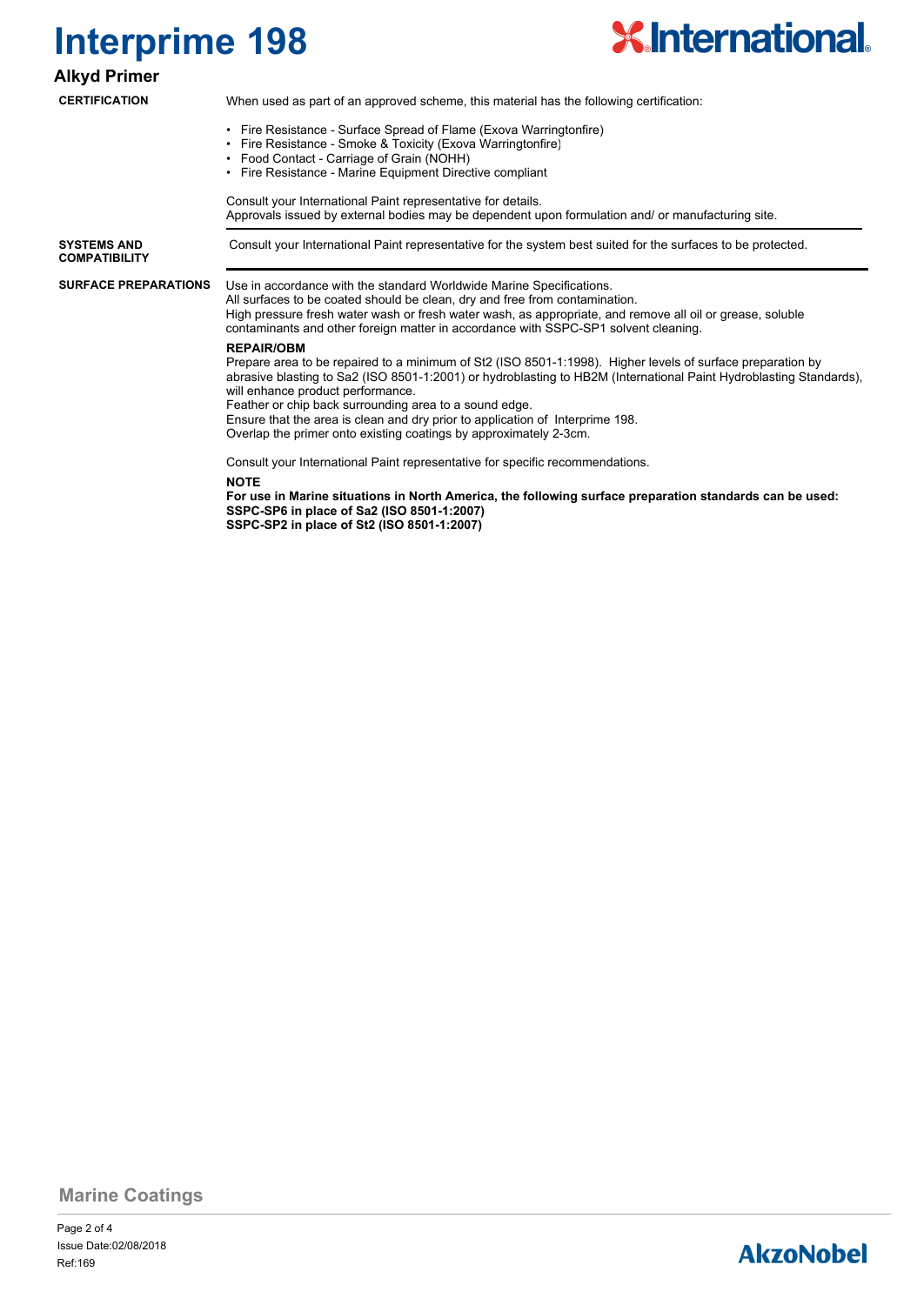

**Alkyd Primer**

#### **CERTIFICATION**

- When used as part of an approved scheme, this material has the following certification:
	- Fire Resistance Surface Spread of Flame (Exova Warringtonfire)
- Fire Resistance Smoke & Toxicity (Exova Warringtonfire)
- Food Contact Carriage of Grain (NOHH)
- Fire Resistance Marine Equipment Directive compliant

Consult your International Paint representative for details. Approvals issued by external bodies may be dependent upon formulation and/ or manufacturing site.

**COMPATIBILITY**

**SYSTEMS AND** Consult your International Paint representative for the system best suited for the surfaces to be protected.

#### **SURFACE PREPARATIONS**

Use in accordance with the standard Worldwide Marine Specifications.

All surfaces to be coated should be clean, dry and free from contamination. High pressure fresh water wash or fresh water wash, as appropriate, and remove all oil or grease, soluble contaminants and other foreign matter in accordance with SSPC-SP1 solvent cleaning. **REPAIR/OBM**

Prepare area to be repaired to a minimum of St2 (ISO 8501-1:1998). Higher levels of surface preparation by abrasive blasting to Sa2 (ISO 8501-1:2001) or hydroblasting to HB2M (International Paint Hydroblasting Standards), will enhance product performance. Feather or chip back surrounding area to a sound edge.

Ensure that the area is clean and dry prior to application of Interprime 198.

Overlap the primer onto existing coatings by approximately 2-3cm.

Consult your International Paint representative for specific recommendations.

#### **NOTE**

**For use in Marine situations in North America, the following surface preparation standards can be used: SSPC-SP6 in place of Sa2 (ISO 8501-1:2007) SSPC-SP2 in place of St2 (ISO 8501-1:2007)**

### **Marine Coatings**

## **AkzoNobel**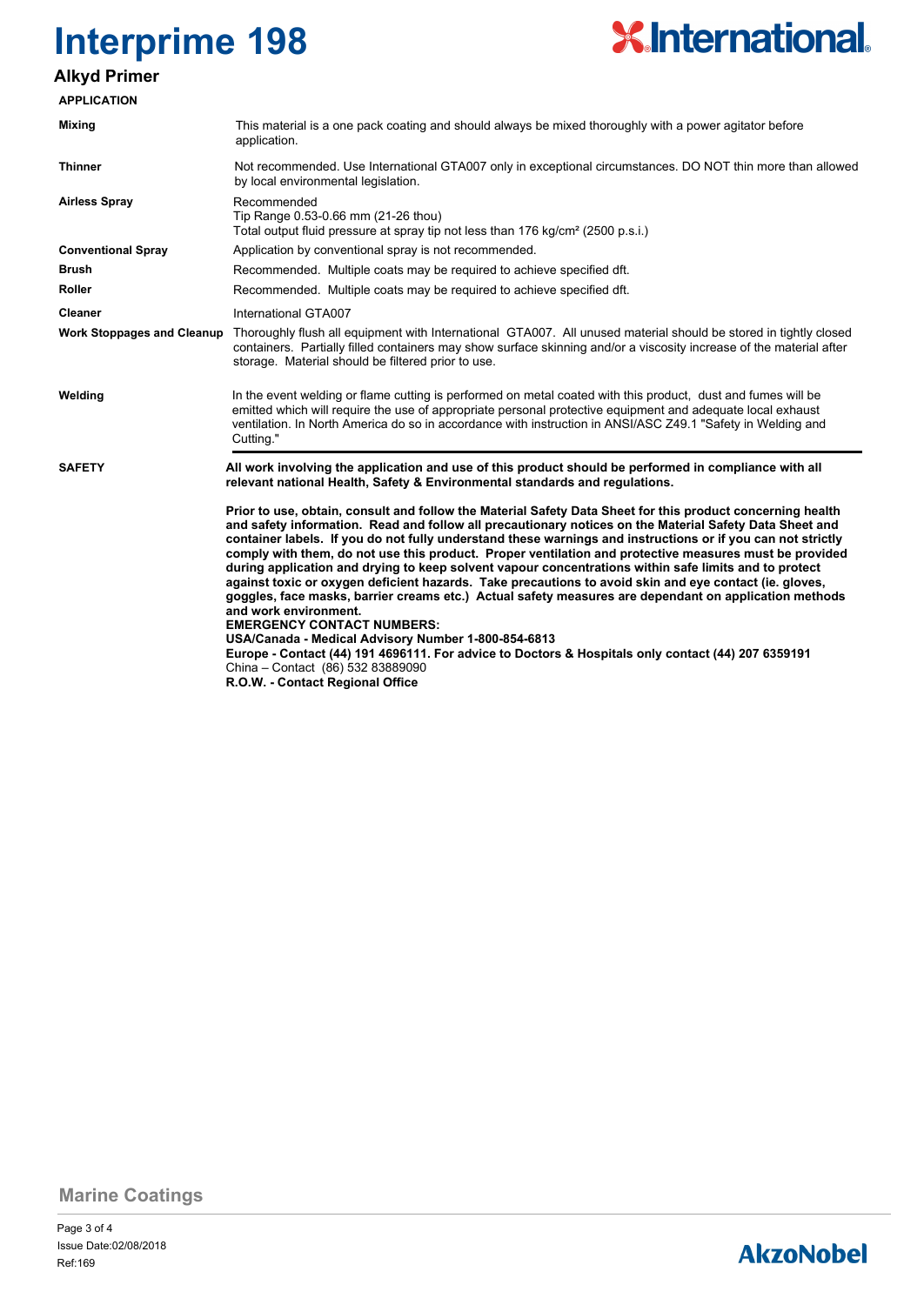

### **Alkyd Primer**

#### **APPLICATION**

| <b>AFFLIVATION</b>                |                                                                                                                                                                                                                                                                                                                                                                                                                                                                                                                                                                                                                                                                                                                                                                                                                                                                                                                                                                                                                                                                                |  |  |  |
|-----------------------------------|--------------------------------------------------------------------------------------------------------------------------------------------------------------------------------------------------------------------------------------------------------------------------------------------------------------------------------------------------------------------------------------------------------------------------------------------------------------------------------------------------------------------------------------------------------------------------------------------------------------------------------------------------------------------------------------------------------------------------------------------------------------------------------------------------------------------------------------------------------------------------------------------------------------------------------------------------------------------------------------------------------------------------------------------------------------------------------|--|--|--|
| <b>Mixing</b>                     | This material is a one pack coating and should always be mixed thoroughly with a power agitator before<br>application.                                                                                                                                                                                                                                                                                                                                                                                                                                                                                                                                                                                                                                                                                                                                                                                                                                                                                                                                                         |  |  |  |
| <b>Thinner</b>                    | Not recommended. Use International GTA007 only in exceptional circumstances. DO NOT thin more than allowed<br>by local environmental legislation.                                                                                                                                                                                                                                                                                                                                                                                                                                                                                                                                                                                                                                                                                                                                                                                                                                                                                                                              |  |  |  |
| <b>Airless Spray</b>              | Recommended<br>Tip Range 0.53-0.66 mm (21-26 thou)<br>Total output fluid pressure at spray tip not less than 176 kg/cm <sup>2</sup> (2500 p.s.i.)                                                                                                                                                                                                                                                                                                                                                                                                                                                                                                                                                                                                                                                                                                                                                                                                                                                                                                                              |  |  |  |
| <b>Conventional Spray</b>         | Application by conventional spray is not recommended.                                                                                                                                                                                                                                                                                                                                                                                                                                                                                                                                                                                                                                                                                                                                                                                                                                                                                                                                                                                                                          |  |  |  |
| <b>Brush</b>                      | Recommended. Multiple coats may be required to achieve specified dft.                                                                                                                                                                                                                                                                                                                                                                                                                                                                                                                                                                                                                                                                                                                                                                                                                                                                                                                                                                                                          |  |  |  |
| <b>Roller</b>                     | Recommended. Multiple coats may be required to achieve specified dft.                                                                                                                                                                                                                                                                                                                                                                                                                                                                                                                                                                                                                                                                                                                                                                                                                                                                                                                                                                                                          |  |  |  |
| <b>Cleaner</b>                    | International GTA007                                                                                                                                                                                                                                                                                                                                                                                                                                                                                                                                                                                                                                                                                                                                                                                                                                                                                                                                                                                                                                                           |  |  |  |
| <b>Work Stoppages and Cleanup</b> | Thoroughly flush all equipment with International GTA007. All unused material should be stored in tightly closed<br>containers. Partially filled containers may show surface skinning and/or a viscosity increase of the material after<br>storage. Material should be filtered prior to use.                                                                                                                                                                                                                                                                                                                                                                                                                                                                                                                                                                                                                                                                                                                                                                                  |  |  |  |
| Welding                           | In the event welding or flame cutting is performed on metal coated with this product, dust and fumes will be<br>emitted which will require the use of appropriate personal protective equipment and adequate local exhaust<br>ventilation. In North America do so in accordance with instruction in ANSI/ASC Z49.1 "Safety in Welding and<br>Cutting."                                                                                                                                                                                                                                                                                                                                                                                                                                                                                                                                                                                                                                                                                                                         |  |  |  |
| <b>SAFETY</b>                     | All work involving the application and use of this product should be performed in compliance with all<br>relevant national Health, Safety & Environmental standards and regulations.                                                                                                                                                                                                                                                                                                                                                                                                                                                                                                                                                                                                                                                                                                                                                                                                                                                                                           |  |  |  |
|                                   | Prior to use, obtain, consult and follow the Material Safety Data Sheet for this product concerning health<br>and safety information. Read and follow all precautionary notices on the Material Safety Data Sheet and<br>container labels. If you do not fully understand these warnings and instructions or if you can not strictly<br>comply with them, do not use this product. Proper ventilation and protective measures must be provided<br>during application and drying to keep solvent vapour concentrations within safe limits and to protect<br>against toxic or oxygen deficient hazards. Take precautions to avoid skin and eye contact (ie. gloves,<br>goggles, face masks, barrier creams etc.) Actual safety measures are dependant on application methods<br>and work environment.<br><b>EMERGENCY CONTACT NUMBERS:</b><br>USA/Canada - Medical Advisory Number 1-800-854-6813<br>Europe - Contact (44) 191 4696111. For advice to Doctors & Hospitals only contact (44) 207 6359191<br>China - Contact (86) 532 83889090<br>R.O.W. - Contact Regional Office |  |  |  |

**Marine Coatings**